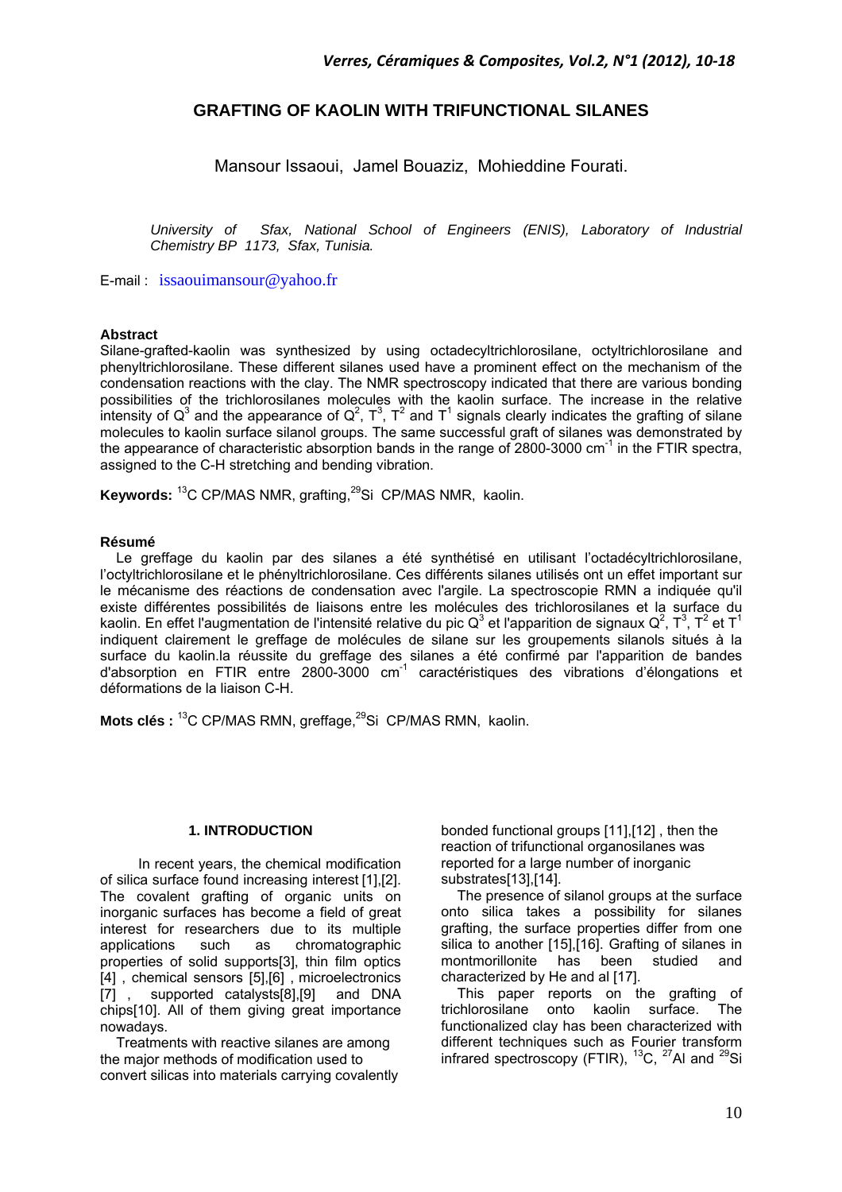# **GRAFTING OF KAOLIN WITH TRIFUNCTIONAL SILANES**

Mansour Issaoui, Jamel Bouaziz, Mohieddine Fourati.

*University of Sfax, National School of Engineers (ENIS), Laboratory of Industrial Chemistry BP 1173, Sfax, Tunisia.* 

E-mail : issaouimansour@yahoo.fr

# **Abstract**

Silane-grafted-kaolin was synthesized by using octadecyltrichlorosilane, octyltrichlorosilane and phenyltrichlorosilane. These different silanes used have a prominent effect on the mechanism of the condensation reactions with the clay. The NMR spectroscopy indicated that there are various bonding possibilities of the trichlorosilanes molecules with the kaolin surface. The increase in the relative intensity of Q<sup>3</sup> and the appearance of Q<sup>2</sup>, T<sup>3</sup>, T<sup>2</sup> and T<sup>1</sup> signals clearly indicates the grafting of silane molecules to kaolin surface silanol groups. The same successful graft of silanes was demonstrated by the appearance of characteristic absorption bands in the range of 2800-3000 cm<sup>-1</sup> in the FTIR spectra, assigned to the C-H stretching and bending vibration.

**Keywords:** <sup>13</sup>C CP/MAS NMR, grafting, <sup>29</sup>Si CP/MAS NMR, kaolin.

## **Résumé**

Le greffage du kaolin par des silanes a été synthétisé en utilisant l'octadécyltrichlorosilane, l'octyltrichlorosilane et le phényltrichlorosilane. Ces différents silanes utilisés ont un effet important sur le mécanisme des réactions de condensation avec l'argile. La spectroscopie RMN a indiquée qu'il existe différentes possibilités de liaisons entre les molécules des trichlorosilanes et la surface du kaolin. En effet l'augmentation de l'intensité relative du pic Q<sup>3</sup> et l'apparition de signaux Q<sup>2</sup>, T<sup>3</sup>, T<sup>2</sup> et T<sup>1</sup> indiquent clairement le greffage de molécules de silane sur les groupements silanols situés à la surface du kaolin.la réussite du greffage des silanes a été confirmé par l'apparition de bandes d'absorption en FTIR entre 2800-3000  $cm^{-1}$  caractéristiques des vibrations d'élongations et déformations de la liaison C-H.

**Mots clés : <sup>13</sup>C CP/MAS RMN, greffage, <sup>29</sup>Si CP/MAS RMN, kaolin.** 

#### **1. INTRODUCTION**

In recent years, the chemical modification of silica surface found increasing interest [1],[2]. The covalent grafting of organic units on inorganic surfaces has become a field of great interest for researchers due to its multiple applications such as chromatographic properties of solid supports[3], thin film optics [4] , chemical sensors [5],[6] , microelectronics [7] , supported catalysts[8],[9] and DNA chips[10]. All of them giving great importance nowadays.

Treatments with reactive silanes are among the major methods of modification used to convert silicas into materials carrying covalently bonded functional groups [11],[12] , then the reaction of trifunctional organosilanes was reported for a large number of inorganic substrates[13],[14].

The presence of silanol groups at the surface onto silica takes a possibility for silanes grafting, the surface properties differ from one silica to another [15],[16]. Grafting of silanes in montmorillonite has been studied and characterized by He and al [17].

This paper reports on the grafting of trichlorosilane onto kaolin surface. The functionalized clay has been characterized with different techniques such as Fourier transform infrared spectroscopy (FTIR),  ${}^{13}C$ ,  ${}^{27}$ AI and  ${}^{29}Si$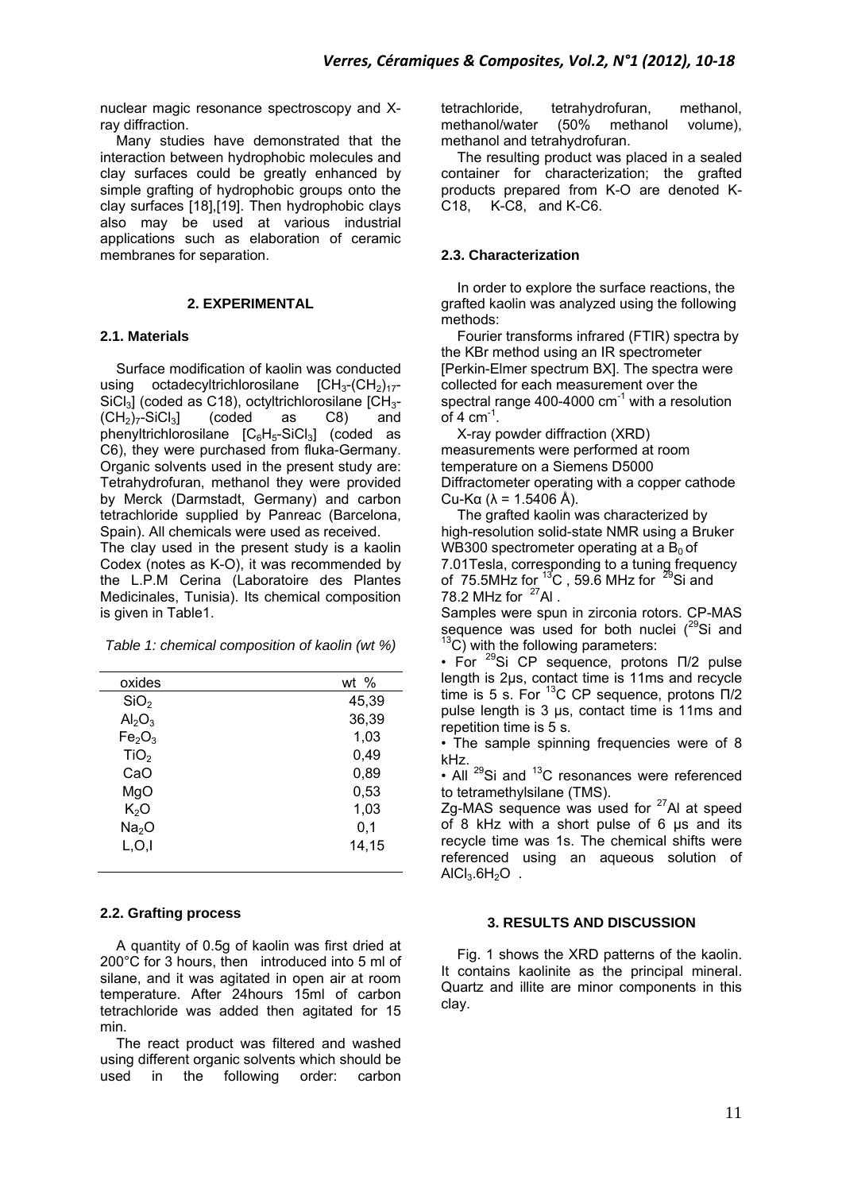nuclear magic resonance spectroscopy and Xray diffraction.

Many studies have demonstrated that the interaction between hydrophobic molecules and clay surfaces could be greatly enhanced by simple grafting of hydrophobic groups onto the clay surfaces [18],[19]. Then hydrophobic clays also may be used at various industrial applications such as elaboration of ceramic membranes for separation.

# **2. EXPERIMENTAL**

## **2.1. Materials**

Surface modification of kaolin was conducted using octadecyltrichlorosilane  $ICH_3$ - $(CH_2)_{17}$ - $\text{SiCl}_3$ ] (coded as C18), octyltrichlorosilane  $\text{[CH}_3$ -<br>(CH<sub>2</sub>)<sub>7</sub>-SiCl<sub>3</sub>] (coded as C8) and  $(CH<sub>2</sub>)<sub>7</sub>$ -SiCl<sub>3</sub>] (coded as C8) and phenyltrichlorosilane  $[C_6H_5-SiCl_3]$  (coded as C6), they were purchased from fluka-Germany. Organic solvents used in the present study are: Tetrahydrofuran, methanol they were provided by Merck (Darmstadt, Germany) and carbon tetrachloride supplied by Panreac (Barcelona, Spain). All chemicals were used as received.

The clay used in the present study is a kaolin Codex (notes as K-O), it was recommended by the L.P.M Cerina (Laboratoire des Plantes Medicinales, Tunisia). Its chemical composition is given in Table1.

*Table 1: chemical composition of kaolin (wt %)* 

| oxides                         | wt %  |
|--------------------------------|-------|
| SiO <sub>2</sub>               | 45,39 |
| Al <sub>2</sub> O <sub>3</sub> | 36,39 |
| Fe <sub>2</sub> O <sub>3</sub> | 1,03  |
| TiO <sub>2</sub>               | 0,49  |
| CaO                            | 0,89  |
| MgO                            | 0,53  |
| K <sub>2</sub> O               | 1,03  |
| Na <sub>2</sub> O              | 0,1   |
| L, O, I                        | 14,15 |
|                                |       |

# **2.2. Grafting process**

A quantity of 0.5g of kaolin was first dried at 200°C for 3 hours, then introduced into 5 ml of silane, and it was agitated in open air at room temperature. After 24hours 15ml of carbon tetrachloride was added then agitated for 15 min.

The react product was filtered and washed using different organic solvents which should be used in the following order: carbon used in the following order:

tetrachloride, tetrahydrofuran, methanol, methanol/water (50% methanol volume), methanol and tetrahydrofuran.

The resulting product was placed in a sealed container for characterization; the grafted products prepared from K-O are denoted K-C18, K-C8, and K-C6.

# **2.3. Characterization**

In order to explore the surface reactions, the grafted kaolin was analyzed using the following methods:

Fourier transforms infrared (FTIR) spectra by the KBr method using an IR spectrometer [Perkin-Elmer spectrum BX]. The spectra were collected for each measurement over the spectral range 400-4000  $\text{cm}^{-1}$  with a resolution of 4  $cm^{-1}$ .

X-ray powder diffraction (XRD) measurements were performed at room temperature on a Siemens D5000 Diffractometer operating with a copper cathode Cu-Kα (λ = 1.5406 Å).

The grafted kaolin was characterized by high-resolution solid-state NMR using a Bruker WB300 spectrometer operating at a  $B_0$  of 7.01Tesla, corresponding to a tuning frequency of 75.5MHz for  $^{13}$ C, 59.6 MHz for  $^{29}$ Si and 78.2 MHz for  $27$ Al.

Samples were spun in zirconia rotors. CP-MAS sequence was used for both nuclei  $(^{29}Si$  and  $13^{\circ}$ C) with the following parameters:

• For 29Si CP sequence, protons Π/2 pulse length is 2µs, contact time is 11ms and recycle time is 5 s. For  $^{13}$ C CP sequence, protons  $\Pi/2$ pulse length is 3 µs, contact time is 11ms and repetition time is 5 s.

• The sample spinning frequencies were of 8 kHz.

• All  $^{29}$ Si and  $^{13}$ C resonances were referenced to tetramethylsilane (TMS).

Zg-MAS sequence was used for <sup>27</sup>Al at speed of 8 kHz with a short pulse of 6 µs and its recycle time was 1s. The chemical shifts were referenced using an aqueous solution of  $AICI<sub>3</sub>.6H<sub>2</sub>O$ .

# **3. RESULTS AND DISCUSSION**

Fig. 1 shows the XRD patterns of the kaolin. It contains kaolinite as the principal mineral. Quartz and illite are minor components in this clay.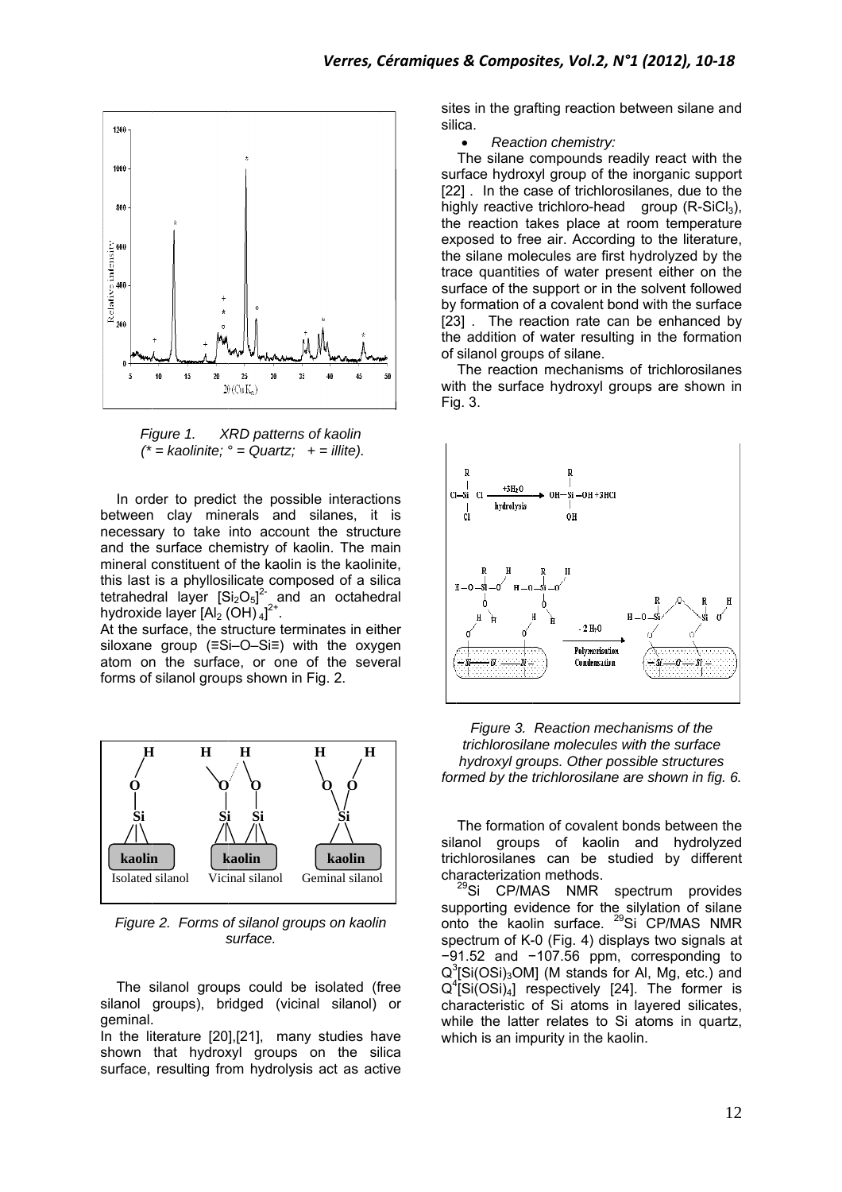

*Fi igure 1. X*  $\iota^*$  = *kaolinite;*  $\circ$  = *Quartz;* + = *illite)*. *XRD patterns s of kaolin* 

In order to predict the possible interactions between n clay min erals and silanes, it is necessary to take into account the structure and the surface chemistry of kaolin. The main mineral constituent of the kaolin is the kaolinite, this last tetrahed hydroxid is a phyllos ral layer [S de layer [Al<sub>2</sub> ( ilicate compo  $Si<sub>2</sub>O<sub>5</sub>$ ]<sup>2-</sup> and  $(OH)_4]^{2+}$ . osed of a si an octahed lica dral

At the surface, the structure terminates in either siloxane group (≡Si–O–Si≡) with the oxygen atom on the surface, or one of the several forms of silanol grou ps shown in Fig. 2.



*Figure 2. Forms of silanol groups on kaolin s surface.* 

The silanol groups could be isolated (free silanol groups), bridged (vicinal silanol) or geminal. .

In the literature [20], [21], many studies have shown that hydroxyl groups on the silica surface, resulting from hydrolysis act as active sites in the grafting reaction between silane and silica.

• Reaction chemistry:

surface hydroxyl group of the inorganic support [22] . In the case of trichlorosilanes, due to the highly reactive trichloro-head group (R-SiCl<sub>3</sub>), the reaction takes place at room temperature exposed to free air. According to the literature, the silane molecules are first hydrolyzed by the trace quantities of water present either on the surface of the support or in the solvent followed by formation of a covalent bond with the surface [23] . The reaction rate can be enhanced by the addition of water resulting in the formation of silanol group ps of silane. The silane compounds readily react with the

with the surface hydroxyl groups are shown in Fig g. 3. The reaction mechanisms of trichlorosilanes





silanol groups of kaolin and hydrolyzed trichlorosilanes can be studied by different characterization methods. The formation of covalent bonds between the

su on spectrum of K-0 (Fig. 4) displays two signals at −91.52 and −107.56 ppm, corresponding to −91.52 and −107.56 ppm, corresponding to<br>Q<sup>3</sup>[Si(OSi)<sub>3</sub>OM] (M stands for Al, Mg, etc.) and  $Q^4$ [Si $(OSi)_4$ ] respectively [24]. The former is characteristic of Si atoms in layered silicates, while the latter relates to Si atoms in quartz, which is an impurity in the kaolin. <sup>29</sup>Si CP/MAS NMR spectrum provides pporting evid to the kaol dence for th in surface. he silylation <sup>29</sup>Si CP/MA of silane AS NMR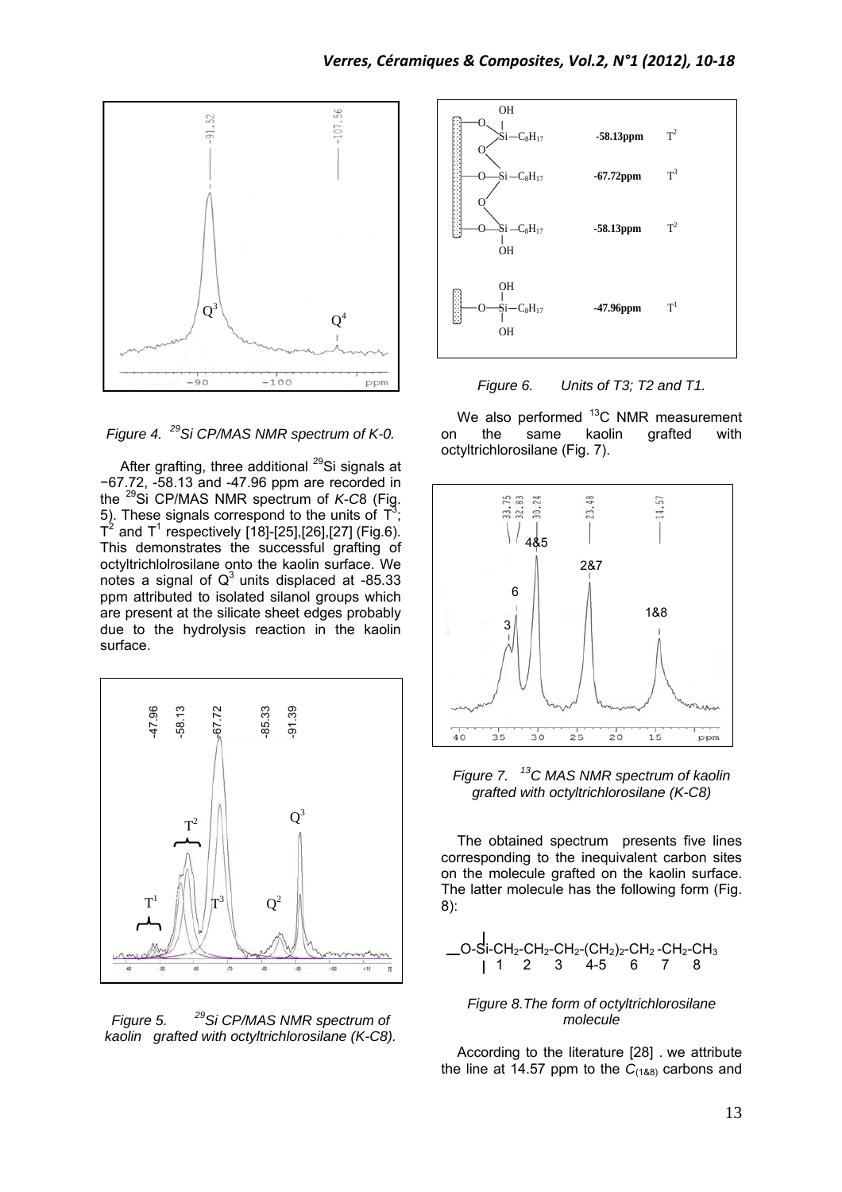

*Figure 4. 29Si CP/MAS NMR spectrum of K-0.* 

After grafting, three additional  $^{29}$ Si signals at −67.72, -58.13 and -47.96 ppm are recorded in the 29Si CP/MAS NMR spectrum of *K*-*C*8 (Fig. 5). These signals correspond to the units of  $T^3$ ;  $T^2$  and  $T^1$  respectively [18]-[25],[26],[27] (Fig.6). This demonstrates the successful grafting of octyltrichlolrosilane onto the kaolin surface. We notes a signal of  $Q<sup>3</sup>$  units displaced at -85.33 ppm attributed to isolated silanol groups which are present at the silicate sheet edges probably due to the hydrolysis reaction in the kaolin surface.



*Figure 5. 29Si CP/MAS NMR spectrum of kaolin grafted with octyltrichlorosilane (K-C8).* 





We also performed  $^{13}$ C NMR measurement on the same kaolin grafted with octyltrichlorosilane (Fig. 7).



*Figure 7. 13C MAS NMR spectrum of kaolin grafted with octyltrichlorosilane (K-C8)* 

The obtained spectrum presents five lines corresponding to the inequivalent carbon sites on the molecule grafted on the kaolin surface. The latter molecule has the following form (Fig. 8):

O-Si-CH2-CH2-CH2-(CH2)2-CH2 -CH2-CH3 1 2 3 4-5 6 7 8

#### *Figure 8.The form of octyltrichlorosilane molecule*

According to the literature [28] . we attribute the line at 14.57 ppm to the  $C_{(188)}$  carbons and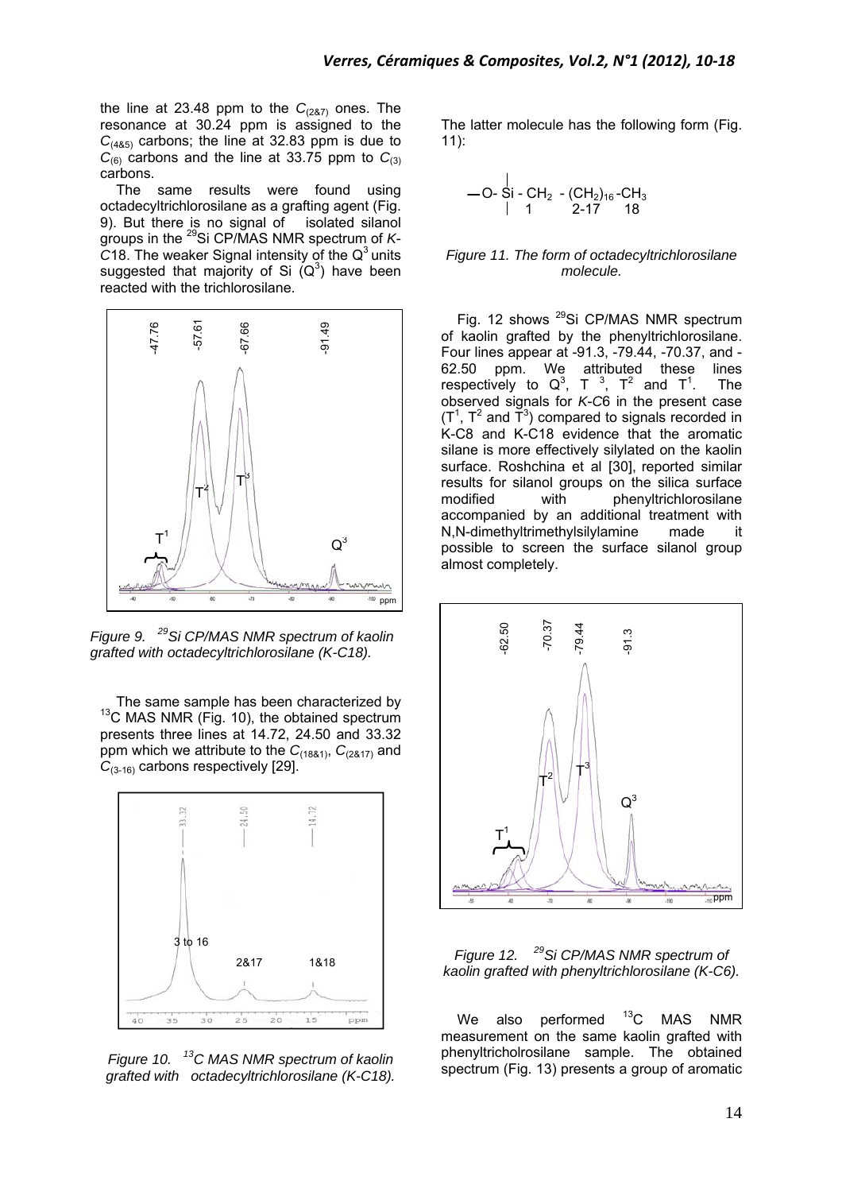the line at 23.48 ppm to the  $C_{(287)}$  ones. The resonance at 30.24 ppm is assigned to the  $C_{(485)}$  carbons; the line at 32.83 ppm is due to  $C_{(6)}$  carbons and the line at 33.75 ppm to  $C_{(3)}$ carbons.

The same results were found using octadecyltrichlorosilane as a grafting agent (Fig. 9). But there is no signal of isolated silanol groups in the 29Si CP/MAS NMR spectrum of *K*- $C$ 18. The weaker Signal intensity of the  $Q<sup>3</sup>$  units suggested that majority of Si  $(Q^3)$  have been reacted with the trichlorosilane.



*Figure 9. 29Si CP/MAS NMR spectrum of kaolin grafted with octadecyltrichlorosilane (K-C18).* 

The same sample has been characterized by <sup>13</sup>C MAS NMR (Fig. 10), the obtained spectrum presents three lines at 14.72, 24.50 and 33.32 ppm which we attribute to the *C*(18&1), *C*(2&17) and C<sub>(3-16)</sub> carbons respectively [29].



*Figure 10. 13C MAS NMR spectrum of kaolin grafted with octadecyltrichlorosilane (K-C18).* 

The latter molecule has the following form (Fig. 11):

$$
-0- \overline{\text{Si}} - \text{CH}_2 - (\text{CH}_2)_{16} - \text{CH}_3
$$
  
|- 1 2-17 18

#### *Figure 11. The form of octadecyltrichlorosilane molecule.*

Fig. 12 shows <sup>29</sup>Si CP/MAS NMR spectrum of kaolin grafted by the phenyltrichlorosilane. Four lines appear at -91.3, -79.44, -70.37, and - 62.50 ppm. We attributed these lines respectively to  $Q^3$ , T<sup>3</sup>, T<sup>2</sup> and T<sup>1</sup> . The observed signals for *K*-*C*6 in the present case  $(T<sup>1</sup>, T<sup>2</sup>$  and  $\tilde{T}<sup>3</sup>$ ) compared to signals recorded in K-C8 and K-C18 evidence that the aromatic silane is more effectively silylated on the kaolin surface. Roshchina et al [30], reported similar results for silanol groups on the silica surface modified with phenyltrichlorosilane accompanied by an additional treatment with N,N-dimethyltrimethylsilylamine made it possible to screen the surface silanol group almost completely.



*Figure 12. 29Si CP/MAS NMR spectrum of kaolin grafted with phenyltrichlorosilane (K-C6).* 

We also performed  $^{13}$ C MAS NMR measurement on the same kaolin grafted with phenyltricholrosilane sample. The obtained spectrum (Fig. 13) presents a group of aromatic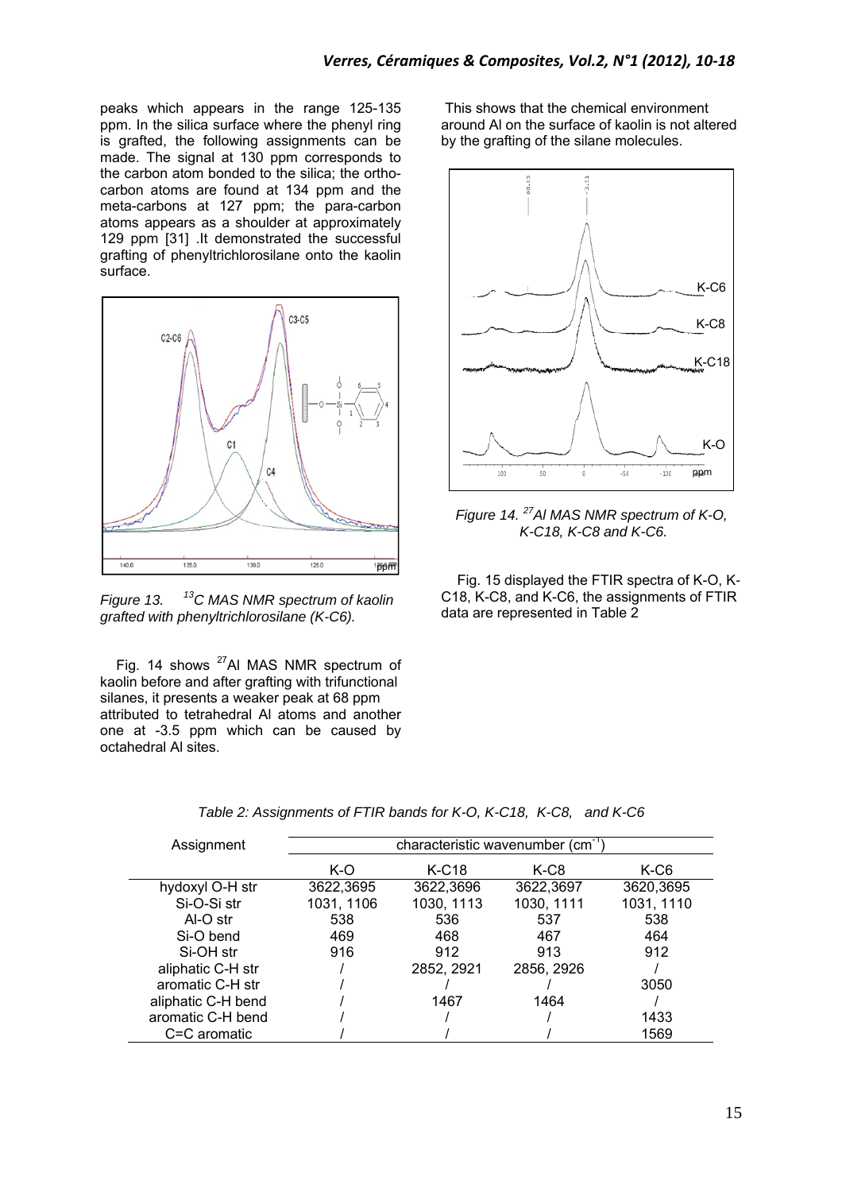peaks which appears in the range 125-135 ppm. In the silica surface where the phenyl ring is grafted, the following assignments can be made. The signal at 130 ppm corresponds to the carbon atom bonded to the silica; the orthocarbon atoms are found at 134 ppm and the meta-carbons at 127 ppm; the para-carbon atoms appears as a shoulder at approximately 129 ppm [31] .It demonstrated the successful grafting of phenyltrichlorosilane onto the kaolin surface.



*Figure 13. 13C MAS NMR spectrum of kaolin grafted with phenyltrichlorosilane (K-C6).* 

Fig. 14 shows <sup>27</sup>Al MAS NMR spectrum of kaolin before and after grafting with trifunctional silanes, it presents a weaker peak at 68 ppm attributed to tetrahedral Al atoms and another one at -3.5 ppm which can be caused by octahedral Al sites.

This shows that the chemical environment around Al on the surface of kaolin is not altered by the grafting of the silane molecules.



*Figure 14. 27Al MAS NMR spectrum of K-O, K-C18, K-C8 and K-C6.* 

Fig. 15 displayed the FTIR spectra of K-O, K*-*C18, K-C8, and K-C6, the assignments of FTIR data are represented in Table 2

| Assignment         | characteristic wavenumber (cm <sup>-1</sup> |            |            |            |
|--------------------|---------------------------------------------|------------|------------|------------|
|                    | K-O                                         | $K-C18$    | K-C8       | K-C6       |
| hydoxyl O-H str    | 3622,3695                                   | 3622,3696  | 3622,3697  | 3620,3695  |
| Si-O-Si str        | 1031, 1106                                  | 1030, 1113 | 1030, 1111 | 1031, 1110 |
| Al-O str           | 538                                         | 536        | 537        | 538        |
| Si-O bend          | 469                                         | 468        | 467        | 464        |
| Si-OH str          | 916                                         | 912        | 913        | 912        |
| aliphatic C-H str  |                                             | 2852, 2921 | 2856, 2926 |            |
| aromatic C-H str   |                                             |            |            | 3050       |
| aliphatic C-H bend |                                             | 1467       | 1464       |            |
| aromatic C-H bend  |                                             |            |            | 1433       |
| C=C aromatic       |                                             |            |            | 1569       |

*Table 2: Assignments of FTIR bands for K-O, K-C18, K-C8, and K-C6*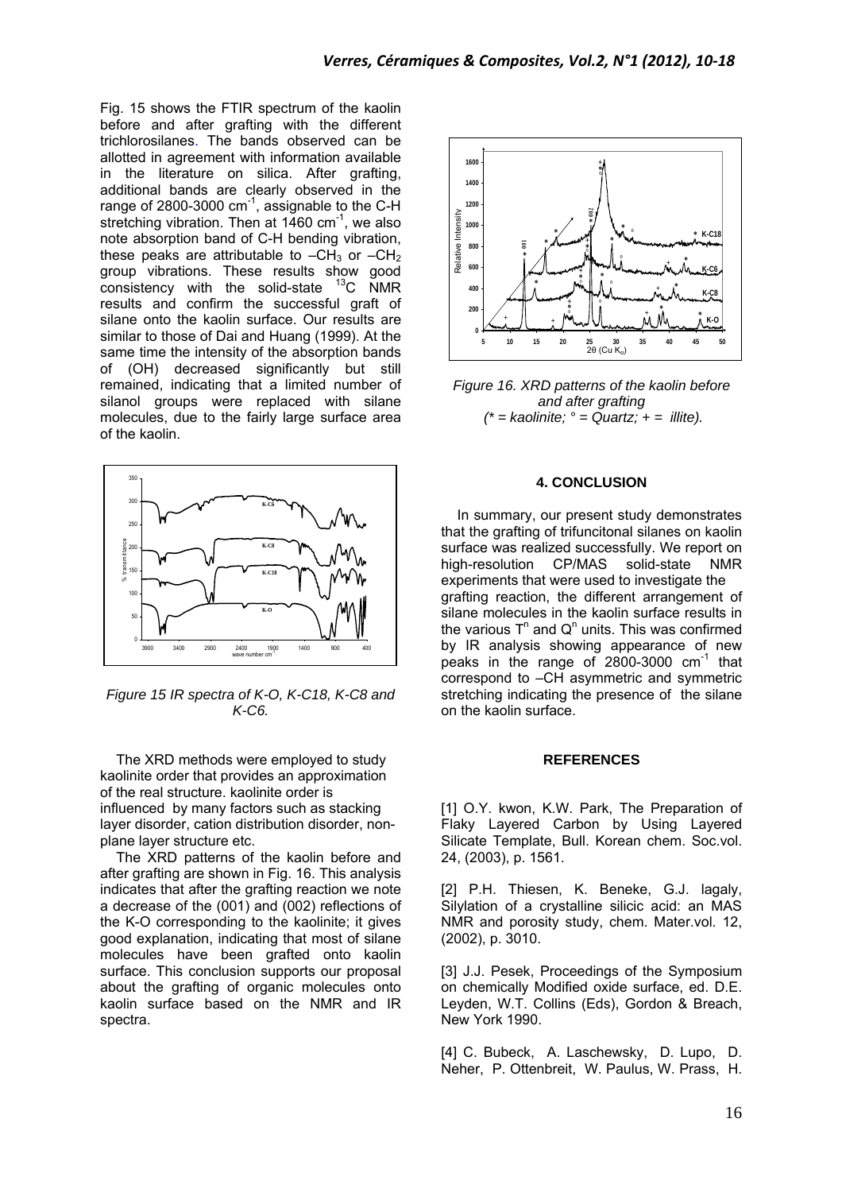Fig. 15 shows the FTIR spectrum of the kaolin before and after grafting with the different trichlorosilanes. The bands observed can be allotted in agreement with information available in the literature on silica. After grafting, additional bands are clearly observed in the range of 2800-3000 cm<sup>-1</sup>, assignable to the C-H stretching vibration. Then at  $1460 \text{ cm}^{-1}$ , we also note absorption band of C-H bending vibration, these peaks are attributable to  $-CH_3$  or  $-CH_2$ group vibrations. These results show good consistency with the solid-state  $^{13}$ C NMR results and confirm the successful graft of silane onto the kaolin surface. Our results are similar to those of Dai and Huang (1999). At the same time the intensity of the absorption bands of (OH) decreased significantly but still remained, indicating that a limited number of silanol groups were replaced with silane molecules, due to the fairly large surface area of the kaolin.



*Figure 15 IR spectra of K-O, K-C18, K-C8 and K-C6.* 

The XRD methods were employed to study kaolinite order that provides an approximation of the real structure. kaolinite order is influenced by many factors such as stacking layer disorder, cation distribution disorder, nonplane layer structure etc.

The XRD patterns of the kaolin before and after grafting are shown in Fig. 16. This analysis indicates that after the grafting reaction we note a decrease of the (001) and (002) reflections of the K-O corresponding to the kaolinite; it gives good explanation, indicating that most of silane molecules have been grafted onto kaolin surface. This conclusion supports our proposal about the grafting of organic molecules onto kaolin surface based on the NMR and IR spectra.



*Figure 16. XRD patterns of the kaolin before and after grafting*   $f^*$  = kaolinite;  $\degree$  = Quartz;  $+$  = *illite*).

## **4. CONCLUSION**

In summary, our present study demonstrates that the grafting of trifuncitonal silanes on kaolin surface was realized successfully. We report on high-resolution CP/MAS solid-state NMR experiments that were used to investigate the grafting reaction, the different arrangement of silane molecules in the kaolin surface results in the various  $T^n$  and  $Q^n$  units. This was confirmed by IR analysis showing appearance of new peaks in the range of  $2800-3000$  cm<sup>-1</sup> that correspond to –CH asymmetric and symmetric stretching indicating the presence of the silane on the kaolin surface.

#### **REFERENCES**

[1] O.Y. kwon, K.W. Park, The Preparation of Flaky Layered Carbon by Using Layered Silicate Template, Bull. Korean chem. Soc.vol. 24, (2003), p. 1561.

[2] P.H. Thiesen, K. Beneke, G.J. lagaly, Silylation of a crystalline silicic acid: an MAS NMR and porosity study, chem. Mater.vol. 12, (2002), p. 3010.

[3] J.J. Pesek, Proceedings of the Symposium on chemically Modified oxide surface, ed. D.E. Leyden, W.T. Collins (Eds), Gordon & Breach, New York 1990.

[4] C. Bubeck, A. Laschewsky, D. Lupo, D. Neher, P. Ottenbreit, W. Paulus, W. Prass, H.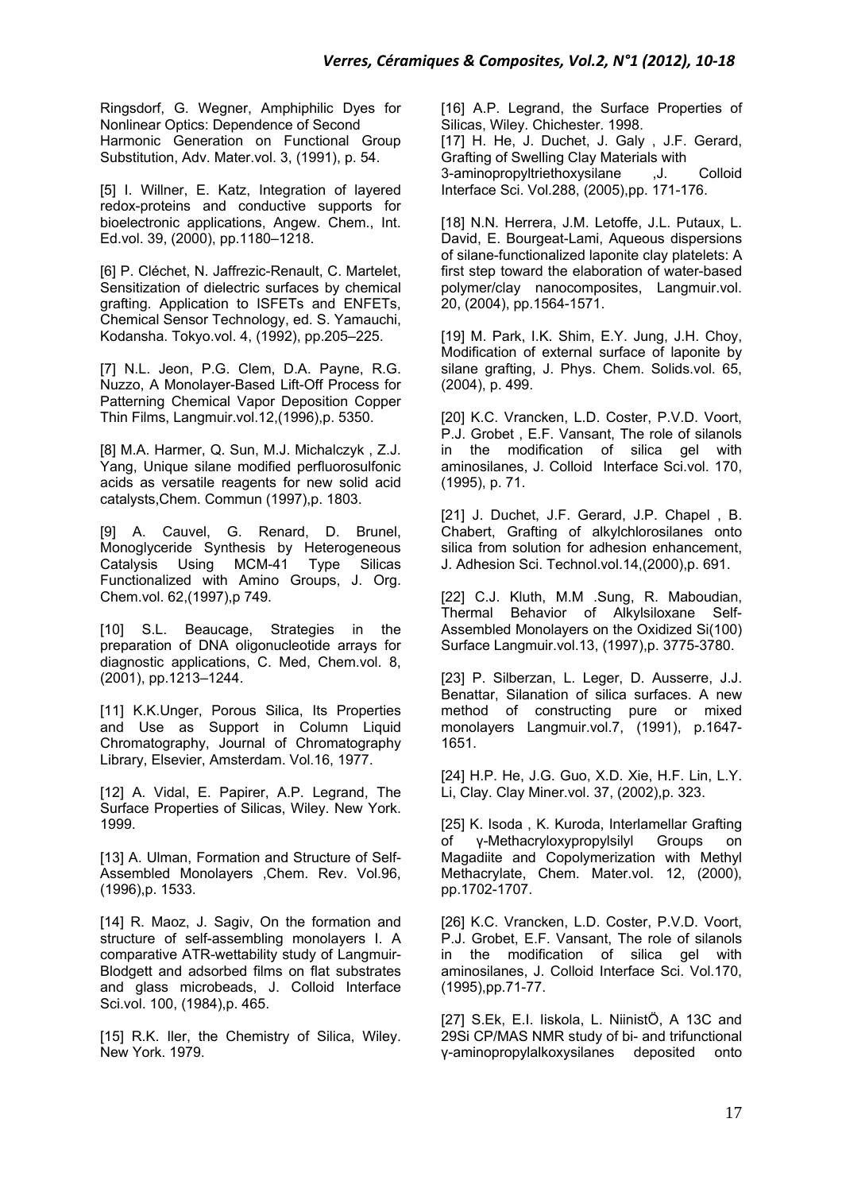Ringsdorf, G. Wegner, Amphiphilic Dyes for Nonlinear Optics: Dependence of Second Harmonic Generation on Functional Group Substitution, Adv. Mater.vol. 3, (1991), p. 54.

[5] I. Willner, E. Katz, Integration of layered redox-proteins and conductive supports for bioelectronic applications, Angew. Chem., Int. Ed.vol. 39, (2000), pp.1180–1218.

[6] P. Cléchet, N. Jaffrezic-Renault, C. Martelet, Sensitization of dielectric surfaces by chemical grafting. Application to ISFETs and ENFETs, Chemical Sensor Technology, ed. S. Yamauchi, Kodansha. Tokyo.vol. 4, (1992), pp.205–225.

[7] N.L. Jeon, P.G. Clem, D.A. Payne, R.G. Nuzzo, A Monolayer-Based Lift-Off Process for Patterning Chemical Vapor Deposition Copper Thin Films, Langmuir.vol.12,(1996),p. 5350.

[8] M.A. Harmer, Q. Sun, M.J. Michalczyk , Z.J. Yang, Unique silane modified perfluorosulfonic acids as versatile reagents for new solid acid catalysts,Chem. Commun (1997),p. 1803.

[9] A. Cauvel, G. Renard, D. Brunel, Monoglyceride Synthesis by Heterogeneous Catalysis Using MCM-41 Type Silicas Functionalized with Amino Groups, J. Org. Chem.vol. 62,(1997),p 749.

[10] S.L. Beaucage, Strategies in the preparation of DNA oligonucleotide arrays for diagnostic applications, C. Med, Chem.vol. 8, (2001), pp.1213–1244.

[11] K.K.Unger, Porous Silica, Its Properties and Use as Support in Column Liquid Chromatography, Journal of Chromatography Library, Elsevier, Amsterdam. Vol.16, 1977.

[12] A. Vidal, E. Papirer, A.P. Legrand, The Surface Properties of Silicas, Wiley. New York. 1999.

[13] A. Ulman, Formation and Structure of Self-Assembled Monolayers ,Chem. Rev. Vol.96, (1996),p. 1533.

[14] R. Maoz, J. Sagiv, On the formation and structure of self-assembling monolayers I. A comparative ATR-wettability study of Langmuir-Blodgett and adsorbed films on flat substrates and glass microbeads, J. Colloid Interface Sci.vol. 100, (1984),p. 465.

[15] R.K. Iler, the Chemistry of Silica, Wiley. New York. 1979.

[16] A.P. Legrand, the Surface Properties of Silicas, Wiley. Chichester. 1998. [17] H. He, J. Duchet, J. Galy, J.F. Gerard, Grafting of Swelling Clay Materials with 3-aminopropyltriethoxysilane ,J. Colloid Interface Sci. Vol.288, (2005),pp. 171-176.

[18] N.N. Herrera, J.M. Letoffe, J.L. Putaux, L. David, E. Bourgeat-Lami, Aqueous dispersions of silane-functionalized laponite clay platelets: A first step toward the elaboration of water-based polymer/clay nanocomposites, Langmuir.vol. 20, (2004), pp.1564-1571.

[19] M. Park, I.K. Shim, E.Y. Jung, J.H. Choy, Modification of external surface of laponite by silane grafting, J. Phys. Chem. Solids.vol. 65, (2004), p. 499.

[20] K.C. Vrancken, L.D. Coster, P.V.D. Voort, P.J. Grobet , E.F. Vansant, The role of silanols in the modification of silica gel with aminosilanes, J. Colloid Interface Sci.vol. 170, (1995), p. 71.

[21] J. Duchet, J.F. Gerard, J.P. Chapel, B. Chabert, Grafting of alkylchlorosilanes onto silica from solution for adhesion enhancement, J. Adhesion Sci. Technol.vol.14,(2000),p. 691.

[22] C.J. Kluth, M.M .Sung, R. Maboudian, Thermal Behavior of Alkylsiloxane Self-Assembled Monolayers on the Oxidized Si(100) Surface Langmuir.vol.13, (1997),p. 3775-3780.

[23] P. Silberzan, L. Leger, D. Ausserre, J.J. Benattar, Silanation of silica surfaces. A new method of constructing pure or mixed monolayers Langmuir.vol.7, (1991), p.1647- 1651.

[24] H.P. He, J.G. Guo, X.D. Xie, H.F. Lin, L.Y. Li, Clay. Clay Miner.vol. 37, (2002),p. 323.

[25] K. Isoda, K. Kuroda, Interlamellar Grafting of γ-Methacryloxypropylsilyl Groups on Magadiite and Copolymerization with Methyl Methacrylate, Chem. Mater.vol. 12, (2000), pp.1702-1707.

[26] K.C. Vrancken, L.D. Coster, P.V.D. Voort, P.J. Grobet, E.F. Vansant, The role of silanols in the modification of silica gel with aminosilanes, J. Colloid Interface Sci. Vol.170, (1995),pp.71-77.

[27] S.Ek, E.I. Iiskola, L. NiinistÖ, A 13C and 29Si CP/MAS NMR study of bi- and trifunctional γ-aminopropylalkoxysilanes deposited onto